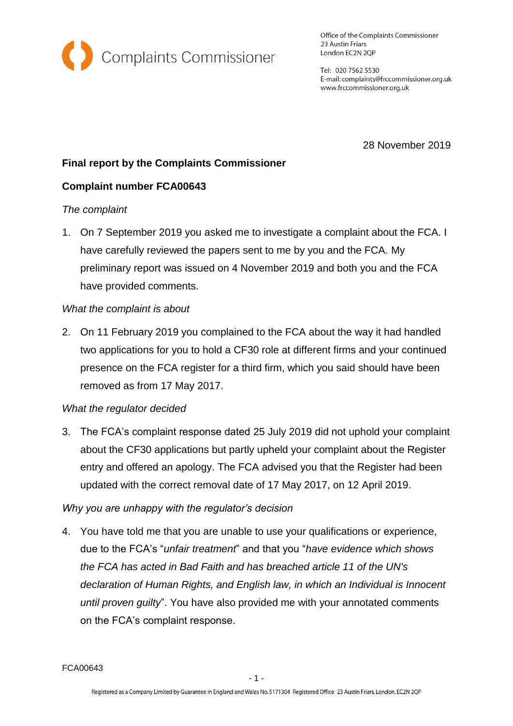

Office of the Complaints Commissioner 23 Austin Friars London EC2N 2QP

Tel: 020 7562 5530 E-mail: complaints@frccommissioner.org.uk www.frccommissioner.org.uk

28 November 2019

# **Final report by the Complaints Commissioner**

## **Complaint number FCA00643**

#### *The complaint*

1. On 7 September 2019 you asked me to investigate a complaint about the FCA. I have carefully reviewed the papers sent to me by you and the FCA. My preliminary report was issued on 4 November 2019 and both you and the FCA have provided comments.

### *What the complaint is about*

2. On 11 February 2019 you complained to the FCA about the way it had handled two applications for you to hold a CF30 role at different firms and your continued presence on the FCA register for a third firm, which you said should have been removed as from 17 May 2017.

#### *What the regulator decided*

3. The FCA's complaint response dated 25 July 2019 did not uphold your complaint about the CF30 applications but partly upheld your complaint about the Register entry and offered an apology. The FCA advised you that the Register had been updated with the correct removal date of 17 May 2017, on 12 April 2019.

## *Why you are unhappy with the regulator's decision*

4. You have told me that you are unable to use your qualifications or experience, due to the FCA's "*unfair treatment*" and that you "*have evidence which shows the FCA has acted in Bad Faith and has breached article 11 of the UN's declaration of Human Rights, and English law, in which an Individual is Innocent until proven guilty*". You have also provided me with your annotated comments on the FCA's complaint response.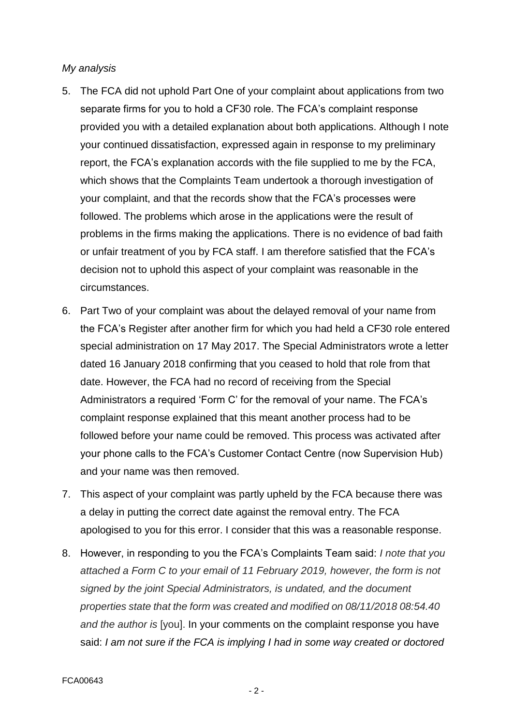#### *My analysis*

- 5. The FCA did not uphold Part One of your complaint about applications from two separate firms for you to hold a CF30 role. The FCA's complaint response provided you with a detailed explanation about both applications. Although I note your continued dissatisfaction, expressed again in response to my preliminary report, the FCA's explanation accords with the file supplied to me by the FCA, which shows that the Complaints Team undertook a thorough investigation of your complaint, and that the records show that the FCA's processes were followed. The problems which arose in the applications were the result of problems in the firms making the applications. There is no evidence of bad faith or unfair treatment of you by FCA staff. I am therefore satisfied that the FCA's decision not to uphold this aspect of your complaint was reasonable in the circumstances.
- 6. Part Two of your complaint was about the delayed removal of your name from the FCA's Register after another firm for which you had held a CF30 role entered special administration on 17 May 2017. The Special Administrators wrote a letter dated 16 January 2018 confirming that you ceased to hold that role from that date. However, the FCA had no record of receiving from the Special Administrators a required 'Form C' for the removal of your name. The FCA's complaint response explained that this meant another process had to be followed before your name could be removed. This process was activated after your phone calls to the FCA's Customer Contact Centre (now Supervision Hub) and your name was then removed.
- 7. This aspect of your complaint was partly upheld by the FCA because there was a delay in putting the correct date against the removal entry. The FCA apologised to you for this error. I consider that this was a reasonable response.
- 8. However, in responding to you the FCA's Complaints Team said: *I note that you attached a Form C to your email of 11 February 2019, however, the form is not signed by the joint Special Administrators, is undated, and the document properties state that the form was created and modified on 08/11/2018 08:54.40 and the author is* [you]. In your comments on the complaint response you have said: *I am not sure if the FCA is implying I had in some way created or doctored*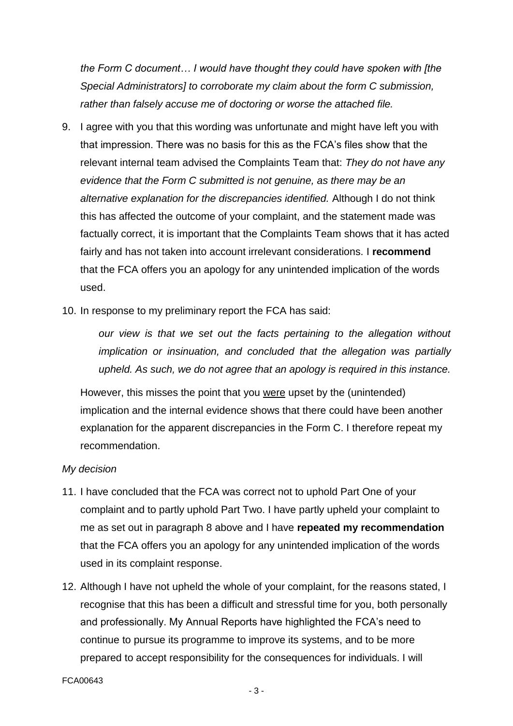*the Form C document… I would have thought they could have spoken with [the Special Administrators] to corroborate my claim about the form C submission, rather than falsely accuse me of doctoring or worse the attached file.*

- 9. I agree with you that this wording was unfortunate and might have left you with that impression. There was no basis for this as the FCA's files show that the relevant internal team advised the Complaints Team that: *They do not have any evidence that the Form C submitted is not genuine, as there may be an alternative explanation for the discrepancies identified.* Although I do not think this has affected the outcome of your complaint, and the statement made was factually correct, it is important that the Complaints Team shows that it has acted fairly and has not taken into account irrelevant considerations. I **recommend** that the FCA offers you an apology for any unintended implication of the words used.
- 10. In response to my preliminary report the FCA has said:

*our view is that we set out the facts pertaining to the allegation without implication or insinuation, and concluded that the allegation was partially upheld. As such, we do not agree that an apology is required in this instance.*

However, this misses the point that you were upset by the (unintended) implication and the internal evidence shows that there could have been another explanation for the apparent discrepancies in the Form C. I therefore repeat my recommendation.

#### *My decision*

- 11. I have concluded that the FCA was correct not to uphold Part One of your complaint and to partly uphold Part Two. I have partly upheld your complaint to me as set out in paragraph 8 above and I have **repeated my recommendation** that the FCA offers you an apology for any unintended implication of the words used in its complaint response.
- 12. Although I have not upheld the whole of your complaint, for the reasons stated, I recognise that this has been a difficult and stressful time for you, both personally and professionally. My Annual Reports have highlighted the FCA's need to continue to pursue its programme to improve its systems, and to be more prepared to accept responsibility for the consequences for individuals. I will